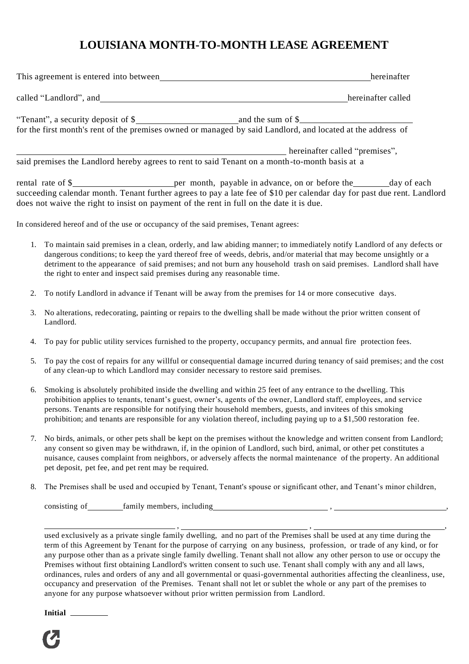## **LOUISIANA MONTH-TO-MONTH LEASE AGREEMENT**

| This agreement is entered into between | hereinafter                                                                                                                      |
|----------------------------------------|----------------------------------------------------------------------------------------------------------------------------------|
| called "Landlord", and                 | hereinafter called                                                                                                               |
| "Tenant", a security deposit of \$     | and the sum of \$<br>for the first month's rent of the premises owned or managed by said Landlord, and located at the address of |
|                                        | hereinafter called "premises",                                                                                                   |

said premises the Landlord hereby agrees to rent to said Tenant on a month-to-month basis at a

rental rate of \$ succeeding calendar month. Tenant further agrees to pay a late fee of \$10 per calendar day for past due rent. Landlord does not waive the right to insist on payment of the rent in full on the date it is due.

In considered hereof and of the use or occupancy of the said premises, Tenant agrees:

- 1. To maintain said premises in a clean, orderly, and law abiding manner; to immediately notify Landlord of any defects or dangerous conditions; to keep the yard thereof free of weeds, debris, and/or material that may become unsightly or a detriment to the appearance of said premises; and not burn any household trash on said premises. Landlord shall have the right to enter and inspect said premises during any reasonable time.
- 2. To notify Landlord in advance if Tenant will be away from the premises for 14 or more consecutive days.
- 3. No alterations, redecorating, painting or repairs to the dwelling shall be made without the prior written consent of Landlord.
- 4. To pay for public utility services furnished to the property, occupancy permits, and annual fire protection fees.
- 5. To pay the cost of repairs for any willful or consequential damage incurred during tenancy of said premises; and the cost of any clean-up to which Landlord may consider necessary to restore said premises.
- 6. Smoking is absolutely prohibited inside the dwelling and within 25 feet of any entrance to the dwelling. This prohibition applies to tenants, tenant's guest, owner's, agents of the owner, Landlord staff, employees, and service persons. Tenants are responsible for notifying their household members, guests, and invitees of this smoking prohibition; and tenants are responsible for any violation thereof, including paying up to a \$1,500 restoration fee.
- 7. No birds, animals, or other pets shall be kept on the premises without the knowledge and written consent from Landlord; any consent so given may be withdrawn, if, in the opinion of Landlord, such bird, animal, or other pet constitutes a nuisance, causes complaint from neighbors, or adversely affects the normal maintenance of the property. An additional pet deposit, pet fee, and pet rent may be required.
- 8. The Premises shall be used and occupied by Tenant, Tenant's spouse or significant other, and Tenant's minor children,

consisting of family members, including  $\epsilon$ 

used exclusively as a private single family dwelling, and no part of the Premises shall be used at any time during the term of this Agreement by Tenant for the purpose of carrying on any business, profession, or trade of any kind, or for any purpose other than as a private single family dwelling. Tenant shall not allow any other person to use or occupy the Premises without first obtaining Landlord's written consent to such use. Tenant shall comply with any and all laws, ordinances, rules and orders of any and all governmental or quasi-governmental authorities affecting the cleanliness, use, occupancy and preservation of the Premises. Tenant shall not let or sublet the whole or any part of the premises to anyone for any purpose whatsoever without prior written permission from Landlord.

, , ,

**Initial**